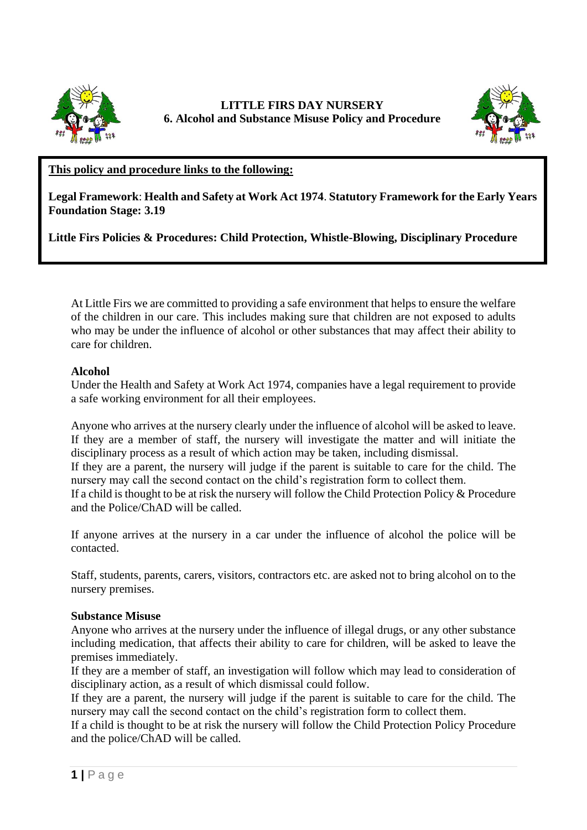



## **This policy and procedure links to the following:**

**Legal Framework**: **Health and Safety at Work Act 1974**. **Statutory Framework for the Early Years Foundation Stage: 3.19**

**Little Firs Policies & Procedures: Child Protection, Whistle-Blowing, Disciplinary Procedure** 

At Little Firs we are committed to providing a safe environment that helps to ensure the welfare of the children in our care. This includes making sure that children are not exposed to adults who may be under the influence of alcohol or other substances that may affect their ability to care for children.

## **Alcohol**

Under the Health and Safety at Work Act 1974, companies have a legal requirement to provide a safe working environment for all their employees.

Anyone who arrives at the nursery clearly under the influence of alcohol will be asked to leave. If they are a member of staff, the nursery will investigate the matter and will initiate the disciplinary process as a result of which action may be taken, including dismissal.

If they are a parent, the nursery will judge if the parent is suitable to care for the child. The nursery may call the second contact on the child's registration form to collect them.

If a child is thought to be at risk the nursery will follow the Child Protection Policy & Procedure and the Police/ChAD will be called.

If anyone arrives at the nursery in a car under the influence of alcohol the police will be contacted.

Staff, students, parents, carers, visitors, contractors etc. are asked not to bring alcohol on to the nursery premises.

## **Substance Misuse**

Anyone who arrives at the nursery under the influence of illegal drugs, or any other substance including medication, that affects their ability to care for children, will be asked to leave the premises immediately.

If they are a member of staff, an investigation will follow which may lead to consideration of disciplinary action, as a result of which dismissal could follow.

If they are a parent, the nursery will judge if the parent is suitable to care for the child. The nursery may call the second contact on the child's registration form to collect them.

If a child is thought to be at risk the nursery will follow the Child Protection Policy Procedure and the police/ChAD will be called.